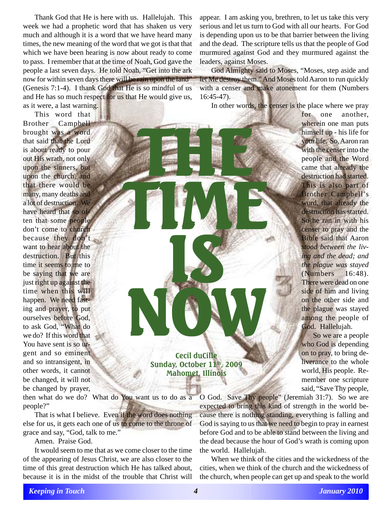Thank God that He is here with us. Hallelujah. This week we had a prophetic word that has shaken us very much and although it is a word that we have heard many times, the new meaning of the word that we got is that that which we have been hearing is now about ready to come to pass. I remember that at the time of Noah, God gave the people a last seven days. He told Noah, "Get into the ark now for within seven days there will be rain upon the land" (Genesis 7:1-4). I thank God that He is so mindful of us and He has so much respect for us that He would give us, as it were, a last warning.

This word that Brother Campbell brought was a word that said that the Lord is about ready to pour out His wrath, not only upon the sinners, but upon the church, and that there would be many, many deaths and a lot of destruction. We have heard that so often that some people don't come to church because they don't want to hear about the destruction. But this time it seems to me to be saying that we are just right up against the time when this will happen. We need fasting and prayer, to put ourselves before God, to ask God, "What do we do? If this word that You have sent is so urgent and so eminent and so intransigent, in other words, it cannot be changed, it will not be changed by prayer,

appear. I am asking you, brethren, to let us take this very serious and let us turn to God with all our hearts. For God is depending upon us to be that barrier between the living and the dead. The scripture tells us that the people of God murmured against God and they murmured against the leaders, against Moses.

God Almighty said to Moses, "Moses, step aside and let Me destroy them." And Moses told Aaron to run quickly with a censer and make atonement for them (Numbers 16:45-47).

In other words, the censer is the place where we pray

for one another, wherein one man puts himself up - his life for your life. So, Aaron ran with the censer into the people and the Word came that already the destruction had started. This is also part of Brother Campbell's word, that already the destruction has started. So he ran in with his censer to pray and the Bible said that Aaron *stood between the living and the dead; and the plague was stayed* (Numbers 16:48). There were dead on one side of him and living on the other side and the plague was stayed among the people of God. Hallelujah.

So we are a people who God is depending on to pray, to bring deliverance to the whole world, His people. Remember one scripture said, "Save Thy people,

**Cecil duCille Sunday, October 11th, 2009 Mahomet, Illinois**

**NOW**

**THE** 

**TIME**

**ISSUED:** 

then what do we do? What do You want us to do as a people?"

That is what I believe. Even if the word does nothing else for us, it gets each one of us to come to the throne of grace and say, "God, talk to me."

Amen. Praise God.

It would seem to me that as we come closer to the time of the appearing of Jesus Christ, we are also closer to the time of this great destruction which He has talked about, because it is in the midst of the trouble that Christ will

O God. Save Thy people" (Jeremiah 31:7). So we are expected to bring this kind of strength in the world because there is nothing standing, everything is falling and God is saying to us that we need to begin to pray in earnest before God and to be able to stand between the living and the dead because the hour of God's wrath is coming upon the world. Hallelujah.

When we think of the cities and the wickedness of the cities, when we think of the church and the wickedness of the church, when people can get up and speak to the world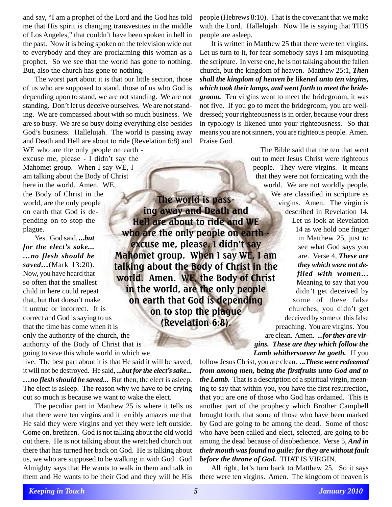and say, "I am a prophet of the Lord and the God has told me that His spirit is changing transvestites in the middle of Los Angeles," that couldn't have been spoken in hell in the past. Now it is being spoken on the television wide out to everybody and they are proclaiming this woman as a prophet. So we see that the world has gone to nothing. But, also the church has gone to nothing.

The worst part about it is that our little section, those of us who are supposed to stand, those of us who God is depending upon to stand, we are not standing. We are not standing. Don't let us deceive ourselves. We are not standing. We are compassed about with so much business. We are so busy. We are so busy doing everything else besides God's business. Hallelujah. The world is passing away and Death and Hell are about to ride (Revelation 6:8) and

WE who are the only people on earth excuse me, please - I didn't say the Mahomet group. When I say WE, I am talking about the Body of Christ here in the world. Amen. WE, the Body of Christ in the world, are the only people on earth that God is depending on to stop the plague.

Yes. God said, *...but for the elect's sake... …no flesh should be saved…*(Mark 13:20). Now, you have heard that so often that the smallest child in here could repeat that, but that doesn't make it untrue or incorrect. It is correct and God is saying to us that the time has come when it is only the authority of the church, the authority of the Body of Christ that is going to save this whole world in which we

live. The best part about it is that He said it will be saved, it will not be destroyed. He said, *...but for the elect's sake... …no flesh should be saved...* But then, the elect is asleep. The elect is asleep. The reason why we have to be crying out so much is because we want to wake the elect.

The peculiar part in Matthew 25 is where it tells us that there were ten virgins and it terribly amazes me that He said they were virgins and yet they were left outside. Come on, brethren. God is not talking about the old world out there. He is not talking about the wretched church out there that has turned her back on God. He is talking about us, we who are supposed to be walking in with God. God Almighty says that He wants to walk in them and talk in them and He wants to be their God and they will be His

people (Hebrews 8:10). That is the covenant that we make with the Lord. Hallelujah. Now He is saying that THIS people are asleep.

It is written in Matthew 25 that there were ten virgins. Let us turn to it, for fear somebody says I am misquoting the scripture. In verse one, he is not talking about the fallen church, but the kingdom of heaven. Matthew 25:1, *Then shall the kingdom of heaven be likened unto ten virgins, which took their lamps, and went forth to meet the bridegroom.* Ten virgins went to meet the bridegroom, it was not five. If you go to meet the bridegroom, you are welldressed; your righteousness is in order, because your dress in typology is likened unto your righteousness. So that means you are not sinners, you are righteous people. Amen. Praise God.

**Hell are about to ride and WE who are the only people on earth excuse me, please. I didn't say Mahomet group. When I say WE, I am talking about the Body of Christ in the world. Amen. WE, the Body of Christ in the world, are the only people on earth that God is depending** The Bible said that the ten that went out to meet Jesus Christ were righteous people. They were virgins. It means that they were not fornicating with the world. We are not worldly people. We are classified in scripture as virgins. Amen. The virgin is described in Revelation 14. Let us look at Revelation 14 as we hold one finger in Matthew 25, just to see what God says you are. Verse 4, *These are they which were not defiled with women…* Meaning to say that you didn't get deceived by some of these false churches, you didn't get deceived by some of this false preaching. You are virgins. You are clean. Amen. **...***for they are virgins. These are they which follow the Lamb whithersoever he goeth.* If you

> follow Jesus Christ, you are clean. *...These were redeemed from among men,* **being** *the firstfruits unto God and to the Lamb.* That is a description of a spiritual virgin, meaning to say that within you, you have the first resurrection, that you are one of those who God has ordained. This is another part of the prophecy which Brother Campbell brought forth, that some of those who have been marked by God are going to be among the dead. Some of those who have been called and elect, selected, are going to be among the dead because of disobedience. Verse 5, *And in their mouth was found no guile: for they are without fault before the throne of God.* THAT IS VIRGIN.

> All right, let's turn back to Matthew 25. So it says there were ten virgins. Amen. The kingdom of heaven is

**The world is passing away and Death and**

**on to stop the plague (Revelation 6:8).**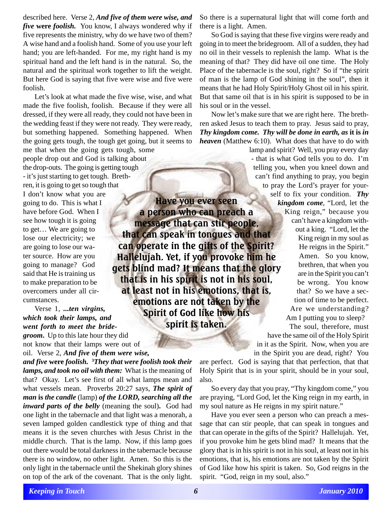described here. Verse 2, *And five of them were wise, and five* **were** *foolish.* You know, I always wondered why if five represents the ministry, why do we have two of them? A wise hand and a foolish hand. Some of you use your left hand; you are left-handed. For me, my right hand is my spiritual hand and the left hand is in the natural. So, the natural and the spiritual work together to lift the weight. But here God is saying that five were wise and five were foolish.

Let's look at what made the five wise, wise, and what made the five foolish, foolish. Because if they were all dressed, if they were all ready, they could not have been in the wedding feast if they were not ready. They were ready, but something happened. Something happened. When the going gets tough, the tough get going, but it seems to me that when the going gets tough, some

people drop out and God is talking about the drop-outs. The going is getting tough - it's just starting to get tough. Brethren, it is going to get so tough that

I don't know what you are going to do. This is what I have before God. When I see how tough it is going to get… We are going to lose our electricity; we are going to lose our water source. How are you going to manage? God said that He is training us to make preparation to be overcomers under all circumstances.

Verse 1, **...***ten virgins, which took their lamps, and went forth to meet the bride-*

*groom***.** Up to this late hour they did not know that their lamps were out of oil. Verse 2, *And five of them were wise,*

*and five* **were** *foolish.* **<sup>3</sup>** *They that were foolish took their lamps, and took no oil with them:* What is the meaning of that? Okay. Let's see first of all what lamps mean and what vessels mean. Proverbs 20:27 says, *The spirit of man* **is** *the candle* (lamp) *of the LORD, searching all the inward parts of the belly* (meaning the soul)**.** God had one light in the tabernacle and that light was a menorah, a seven lamped golden candlestick type of thing and that means it is the seven churches with Jesus Christ in the middle church. That is the lamp. Now, if this lamp goes out there would be total darkness in the tabernacle because there is no window, no other light. Amen. So this is the only light in the tabernacle until the Shekinah glory shines on top of the ark of the covenant. That is the only light.

So there is a supernatural light that will come forth and there is a light. Amen.

So God is saying that these five virgins were ready and going in to meet the bridegroom. All of a sudden, they had no oil in their vessels to replenish the lamp. What is the meaning of that? They did have oil one time. The Holy Place of the tabernacle is the soul, right? So if "the spirit of man is the lamp of God shining in the soul", then it means that he had Holy Spirit/Holy Ghost oil in his spirit. But that same oil that is in his spirit is supposed to be in his soul or in the vessel.

Now let's make sure that we are right here. The brethren asked Jesus to teach them to pray. Jesus said to pray, *Thy kingdom come. Thy will be done in earth, as* **it is** *in heaven* (Matthew 6:10). What does that have to do with

**that can speak in tongues and that can operate in the gifts of the Spirit? Hallelujah. Yet, if you provoke him he gets blind mad? It means that the glory that is in his spirit is not in his soul, at least not in his emotions, that is,** lamp and spirit? Well, you pray every day - that is what God tells you to do. I'm telling you, when you kneel down and can't find anything to pray, you begin to pray the Lord's prayer for yourself to fix your condition. *Thy kingdom come*, "Lord, let the King reign," because you can't have a kingdom without a king. "Lord, let the King reign in my soul as He reigns in the Spirit." Amen. So you know, brethren, that when you are in the Spirit you can't be wrong. You know that? So we have a section of time to be perfect. Are we understanding? Am I putting you to sleep?

> The soul, therefore, must have the same oil of the Holy Spirit in it as the Spirit. Now, when you are in the Spirit you are dead, right? You

are perfect. God is saying that that perfection, that that Holy Spirit that is in your spirit, should be in your soul, also.

So every day that you pray, "Thy kingdom come," you are praying, "Lord God, let the King reign in my earth, in my soul nature as He reigns in my spirit nature."

Have you ever seen a person who can preach a message that can stir people, that can speak in tongues and that can operate in the gifts of the Spirit? Hallelujah. Yet, if you provoke him he gets blind mad? It means that the glory that is in his spirit is not in his soul, at least not in his emotions, that is, his emotions are not taken by the Spirit of God like how his spirit is taken. So, God reigns in the spirit. "God, reign in my soul, also."

**Have you ever seen a person who can preach a message that can stir people,**

**emotions are not taken by the Spirit of God like how his spirit is taken.**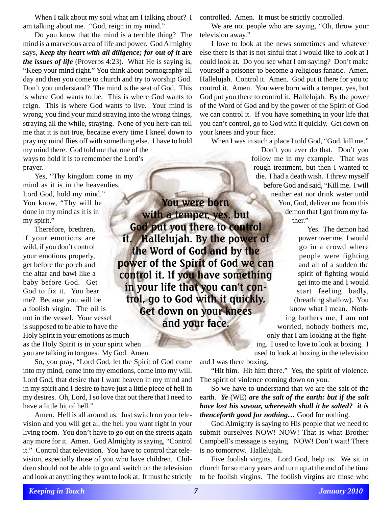When I talk about my soul what am I talking about? I am talking about me. "God, reign in my mind."

Do you know that the mind is a terrible thing? The mind is a marvelous area of life and power. God Almighty says, *Keep thy heart with all diligence; for out of it* **are** *the issues of life* (Proverbs 4:23)*.* What He is saying is, "Keep your mind right." You think about pornography all day and then you come to church and try to worship God. Don't you understand? The mind is the seat of God. This is where God wants to be. This is where God wants to reign. This is where God wants to live. Your mind is wrong; you find your mind straying into the wrong things, straying all the while, straying. None of you here can tell me that it is not true, because every time I kneel down to pray my mind flies off with something else. I have to hold my mind there. God told me that one of the ways to hold it is to remember the Lord's prayer.

Yes, "Thy kingdom come in my mind as it is in the heavenlies. Lord God, hold my mind." You know, "Thy will be done in my mind as it is in my spirit."

**it. Hallelujah. By the power of the Word of God and by the power of the Spirit of God we can control it. If you have something in your life that you can't control, go to God with it quickly.** Therefore, brethren, if your emotions are wild, if you don't control your emotions properly, get before the porch and the altar and bawl like a baby before God. Get God to fix it. You hear me? Because you will be a foolish virgin. The oil is not in the vessel. Your vessel is supposed to be able to have the Holy Spirit in your emotions as much as the Holy Spirit is in your spirit when you are talking in tongues. My God. Amen.

So, you pray, "Lord God, let the Spirit of God come into my mind, come into my emotions, come into my will. Lord God, that desire that I want heaven in my mind and in my spirit and I desire to have just a little piece of hell in my desires. Oh, Lord, I so love that out there that I need to have a little bit of hell."

Amen. Hell is all around us. Just switch on your television and you will get all the hell you want right in your living room. You don't have to go out on the streets again any more for it. Amen. God Almighty is saying, "Control it." Control that television. You have to control that television, especially those of you who have children. Children should not be able to go and switch on the television and look at anything they want to look at. It must be strictly

controlled. Amen. It must be strictly controlled.

We are not people who are saying, "Oh, throw your television away."

I love to look at the news sometimes and whatever else there is that is not sinful that I would like to look at I could look at. Do you see what I am saying? Don't make yourself a prisoner to become a religious fanatic. Amen. Hallelujah. Control it. Amen. God put it there for you to control it. Amen. You were born with a temper, yes, but God put you there to control it. Hallelujah. By the power of the Word of God and by the power of the Spirit of God we can control it. If you have something in your life that you can't control, go to God with it quickly. Get down on your knees and your face.

When I was in such a place I told God, "God, kill me."

**God put you there to control** Don't you ever do that. Don't you follow me in my example. That was rough treatment, but then I wanted to die. I had a death wish. I threw myself before God and said, "Kill me. I will neither eat nor drink water until You, God, deliver me from this demon that I got from my father"

Yes. The demon had power over me. I would go in a crowd where people were fighting and all of a sudden the spirit of fighting would get into me and I would start feeling badly, (breathing shallow). You know what I mean. Nothing bothers me, I am not worried, nobody bothers me, only that I am looking at the fighting. I used to love to look at boxing. I

used to look at boxing in the television

and I was there boxing.

"Hit him. Hit him there." Yes, the spirit of violence. The spirit of violence coming down on you.

So we have to understand that we are the salt of the earth. *Ye* (WE) *are the salt of the earth: but if the salt have lost his savour, wherewith shall it be salted? it is thenceforth good for nothing…* Good for nothing.

God Almighty is saying to His people that we need to submit ourselves NOW! NOW! That is what Brother Campbell's message is saying. NOW! Don't wait! There is no tomorrow. Hallelujah.

Five foolish virgins. Lord God, help us. We sit in church for so many years and turn up at the end of the time to be foolish virgins. The foolish virgins are those who

**You were born with a temper, yes, but**

**Get down on your knees and your face.**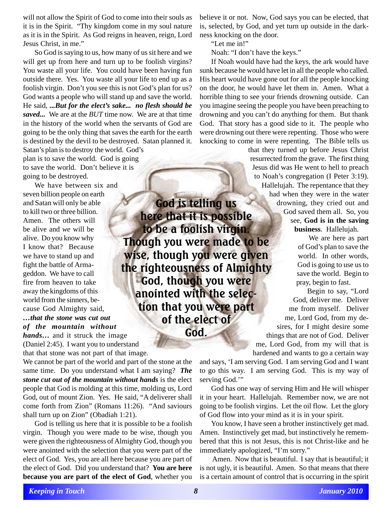will not allow the Spirit of God to come into their souls as it is in the Spirit. "Thy kingdom come in my soul nature as it is in the Spirit. As God reigns in heaven, reign, Lord Jesus Christ, in me."

So God is saying to us, how many of us sit here and we will get up from here and turn up to be foolish virgins? You waste all your life. You could have been having fun outside there. Yes. You waste all your life to end up as a foolish virgin. Don't you see this is not God's plan for us? God wants a people who will stand up and save the world. He said, *...But for the elect's sake... no flesh should be saved...* We are at the *BUT* time now. We are at that time in the history of the world when the servants of God are going to be the only thing that saves the earth for the earth is destined by the devil to be destroyed. Satan planned it. Satan's plan is to destroy the world. God's

plan is to save the world. God is going to save the world. Don't believe it is going to be destroyed.

We have between six and seven billion people on earth and Satan will only be able to kill two or three billion. Amen. The others will be alive and *we* will be alive. Do you know why I know that? Because we have to stand up and fight the battle of Armageddon. We have to call fire from heaven to take away the kingdoms of this world from the sinners, because God Almighty said,

*…that the stone was cut out of the mountain without*

*hands…* and it struck the image (Daniel 2:45). I want you to understand that that stone was not part of that image.

We cannot be part of the world and part of the stone at the same time. Do you understand what I am saying? *The stone cut out of the mountain without hands* is the elect people that God is molding at this time, molding us, Lord God, out of mount Zion. Yes. He said, "A deliverer shall come forth from Zion" (Romans 11:26). "And saviours shall turn up on Zion" (Obadiah 1:21).

God is telling us here that it is possible to be a foolish virgin. Though you were made to be wise, though you were given the righteousness of Almighty God, though you were anointed with the selection that you were part of the elect of God. Yes, you are all here because you are part of the elect of God. Did you understand that? **You are here because you are part of the elect of God**, whether you believe it or not. Now, God says you can be elected, that is, selected, by God, and yet turn up outside in the darkness knocking on the door.

"Let me in!"

Noah: "I don't have the keys."

If Noah would have had the keys, the ark would have sunk because he would have let in all the people who called. His heart would have gone out for all the people knocking on the door, he would have let them in. Amen. What a horrible thing to see your friends drowning outside. Can you imagine seeing the people you have been preaching to drowning and you can't do anything for them. But thank God. That story has a good side to it. The people who were drowning out there were repenting. Those who were knocking to come in were repenting. The Bible tells us

**here that it is possible** that they turned up before Jesus Christ resurrected from the grave. The first thing Jesus did was He went to hell to preach to Noah's congregation (I Peter 3:19). Hallelujah. The repentance that they had when they were in the water drowning, they cried out and God saved them all. So, you see, **God is in the saving business**. Hallelujah.

> We are here as part of God's plan to save the world. In other words, God is going to use us to save the world. Begin to pray, begin to fast.

Begin to say, "Lord God, deliver me. Deliver me from myself. Deliver me, Lord God, from my desires, for I might desire some things that are not of God. Deliver me, Lord God, from my will that is hardened and wants to go a certain way

and says, 'I am serving God. I am serving God and I want to go this way. I am serving God. This is my way of serving God."

God has one way of serving Him and He will whisper it in your heart. Hallelujah. Remember now, we are not going to be foolish virgins. Let the oil flow. Let the glory of God flow into your mind as it is in your spirit.

You know, I have seen a brother instinctively get mad. Amen. Instinctively get mad, but instinctively he remembered that this is not Jesus, this is not Christ-like and he immediately apologized, "I'm sorry."

 Amen. Now that is beautiful. I say that is beautiful; it is not ugly, it is beautiful. Amen. So that means that there is a certain amount of control that is occurring in the spirit

**God is telling us**

**to be a foolish virgin. Though you were made to be**

**wise, though you were given**

**the righteousness of Almighty**

**God, though you were anointed with the selec-**

**tion that you were part of the elect of**

**God.**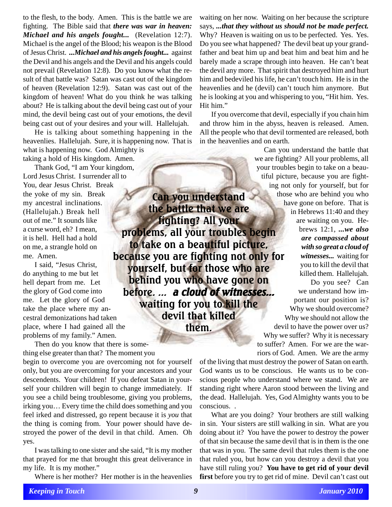to the flesh, to the body. Amen. This is the battle we are fighting. The Bible said that *there was war in heaven: Michael and his angels fought...* (Revelation 12:7). Michael is the angel of the Blood; his weapon is the Blood of Jesus Christ. *...Michael and his angels fought...* against the Devil and his angels and the Devil and his angels could not prevail (Revelation 12:8). Do you know what the result of that battle was? Satan was cast out of the kingdom of heaven (Revelation 12:9). Satan was cast out of the kingdom of heaven! What do you think he was talking about? He is talking about the devil being cast out of your mind, the devil being cast out of your emotions, the devil being cast out of your desires and your will. Hallelujah.

He is talking about something happening in the heavenlies. Hallelujah. Sure, it is happening now. That is what is happening now. God Almighty is

taking a hold of His kingdom. Amen.

Thank God, "I am Your kingdom, Lord Jesus Christ. I surrender all to You, dear Jesus Christ. Break the yoke of my sin. Break my ancestral inclinations. (Hallelujah.) Break hell out of me." It sounds like a curse word, eh? I mean, it is hell. Hell had a hold on me, a strangle hold on me. Amen.

I said, "Jesus Christ, do anything to me but let hell depart from me. Let the glory of God come into me. Let the glory of God take the place where my ancestral demonizations had taken place, where I had gained all the problems of my family." Amen.

Then do you know that there is something else greater than that? The moment you

begin to overcome you are overcoming not for yourself only, but you are overcoming for your ancestors and your descendents. Your children! If you defeat Satan in yourself your children will begin to change immediately. If you see a child being troublesome, giving you problems, irking you… Every time the child does something and you feel irked and distressed, go repent because it is *you* that the thing is coming from. Your power should have destroyed the power of the devil in that child. Amen. Oh yes.

I was talking to one sister and she said, "It is my mother that prayed for me that brought this great deliverance in my life. It is my mother."

Where is her mother? Her mother is in the heavenlies

waiting on her now. Waiting on her because the scripture says, *...that they without us should not be made perfect.* Why? Heaven is waiting on us to be perfected. Yes. Yes. Do you see what happened? The devil beat up your grandfather and beat him up and beat him and beat him and he barely made a scrape through into heaven. He can't beat the devil any more. That spirit that destroyed him and hurt him and bedeviled his life, he can't touch him. He is in the heavenlies and he (devil) can't touch him anymore. But he is looking at you and whispering to you, "Hit him. Yes. Hit him."

If you overcome that devil, especially if you chain him and throw him in the abyss, heaven is released. Amen. All the people who that devil tormented are released, both in the heavenlies and on earth.

Can you understand the battle that we are fighting? All your problems, all your troubles begin to take on a beautiful picture, because you are fighting not only for yourself, but for those who are behind you who have gone on before. That is in Hebrews 11:40 and they are waiting on you. Hebrews 12:1, *...we also are compassed about with so great a cloud of witnesses...* waiting for you to kill the devil that killed them. Hallelujah. Do you see? Can we understand how important our position is? Why we should overcome? Why we should not allow the devil to have the power over us? Why we suffer? Why it is necessary to suffer? Amen. For we are the warriors of God. Amen. We are the army **problems, all your troubles begin to take on a beautiful picture, because you are fighting not only for yourself, but for those who are behind you who have gone on before.... a cloud of witnesses...** 

> of the living that must destroy the power of Satan on earth. God wants us to be conscious. He wants us to be conscious people who understand where we stand. We are standing right where Aaron stood between the living and the dead. Hallelujah. Yes, God Almighty wants you to be conscious. .

> What are you doing? Your brothers are still walking in sin. Your sisters are still walking in sin. What are you doing about it? You have the power to destroy the power of that sin because the same devil that is in them is the one that was in you. The same devil that rules them is the one that ruled you, but how can you destroy a devil that you have still ruling you? **You have to get rid of your devil** first before you try to get rid of mine. Devil can't cast out

**Can you understand the battle that we are fighting? All your**

**waiting for you to kill the devil that killed them.**